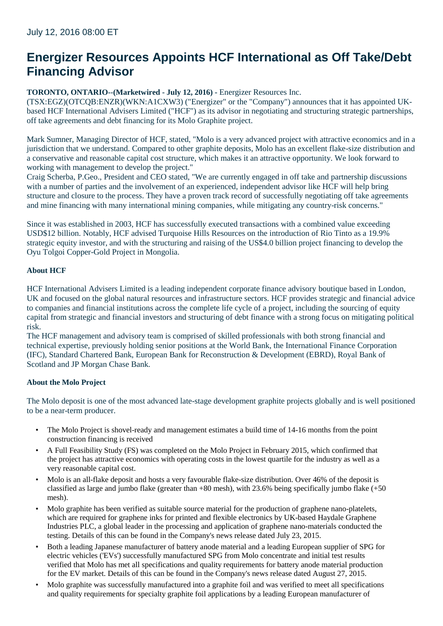# **Energizer Resources Appoints HCF International as Off Take/Debt Financing Advisor**

## **TORONTO, ONTARIO--(Marketwired - July 12, 2016) -** Energizer Resources Inc.

(TSX:EGZ)(OTCQB:ENZR)(WKN:A1CXW3) ("Energizer" or the "Company") announces that it has appointed UKbased HCF International Advisers Limited ("HCF") as its advisor in negotiating and structuring strategic partnerships, off take agreements and debt financing for its Molo Graphite project.

Mark Sumner, Managing Director of HCF, stated, "Molo is a very advanced project with attractive economics and in a jurisdiction that we understand. Compared to other graphite deposits, Molo has an excellent flake-size distribution and a conservative and reasonable capital cost structure, which makes it an attractive opportunity. We look forward to working with management to develop the project."

Craig Scherba, P.Geo., President and CEO stated, "We are currently engaged in off take and partnership discussions with a number of parties and the involvement of an experienced, independent advisor like HCF will help bring structure and closure to the process. They have a proven track record of successfully negotiating off take agreements and mine financing with many international mining companies, while mitigating any country-risk concerns."

Since it was established in 2003, HCF has successfully executed transactions with a combined value exceeding USD\$12 billion. Notably, HCF advised Turquoise Hills Resources on the introduction of Rio Tinto as a 19.9% strategic equity investor, and with the structuring and raising of the US\$4.0 billion project financing to develop the Oyu Tolgoi Copper-Gold Project in Mongolia.

#### **About HCF**

HCF International Advisers Limited is a leading independent corporate finance advisory boutique based in London, UK and focused on the global natural resources and infrastructure sectors. HCF provides strategic and financial advice to companies and financial institutions across the complete life cycle of a project, including the sourcing of equity capital from strategic and financial investors and structuring of debt finance with a strong focus on mitigating political risk.

The HCF management and advisory team is comprised of skilled professionals with both strong financial and technical expertise, previously holding senior positions at the World Bank, the International Finance Corporation (IFC), Standard Chartered Bank, European Bank for Reconstruction & Development (EBRD), Royal Bank of Scotland and JP Morgan Chase Bank.

### **About the Molo Project**

The Molo deposit is one of the most advanced late-stage development graphite projects globally and is well positioned to be a near-term producer.

- The Molo Project is shovel-ready and management estimates a build time of 14-16 months from the point construction financing is received
- A Full Feasibility Study (FS) was completed on the Molo Project in February 2015, which confirmed that the project has attractive economics with operating costs in the lowest quartile for the industry as well as a very reasonable capital cost.
- Molo is an all-flake deposit and hosts a very favourable flake-size distribution. Over 46% of the deposit is classified as large and jumbo flake (greater than  $+80$  mesh), with 23.6% being specifically jumbo flake  $(+50$ mesh).
- Molo graphite has been verified as suitable source material for the production of graphene nano-platelets, which are required for graphene inks for printed and flexible electronics by UK-based Haydale Graphene Industries PLC, a global leader in the processing and application of graphene nano-materials conducted the testing. Details of this can be found in the Company's news release dated July 23, 2015.
- Both a leading Japanese manufacturer of battery anode material and a leading European supplier of SPG for electric vehicles ('EVs') successfully manufactured SPG from Molo concentrate and initial test results verified that Molo has met all specifications and quality requirements for battery anode material production for the EV market. Details of this can be found in the Company's news release dated August 27, 2015.
- Molo graphite was successfully manufactured into a graphite foil and was verified to meet all specifications and quality requirements for specialty graphite foil applications by a leading European manufacturer of